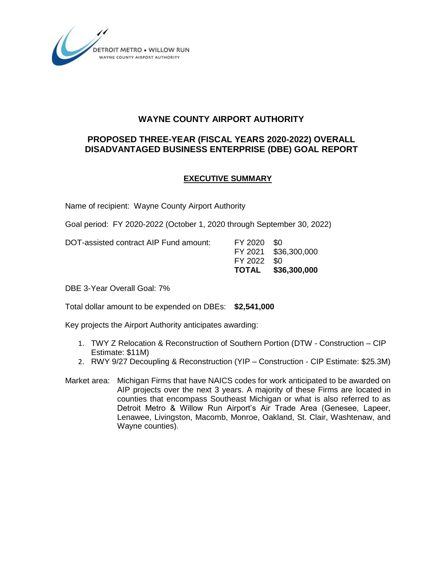

# **WAYNE COUNTY AIRPORT AUTHORITY**

# **PROPOSED THREE-YEAR (FISCAL YEARS 2020-2022) OVERALL DISADVANTAGED BUSINESS ENTERPRISE (DBE) GOAL REPORT**

# **EXECUTIVE SUMMARY**

Name of recipient: Wayne County Airport Authority

Goal period: FY 2020-2022 (October 1, 2020 through September 30, 2022)

DOT-assisted contract AIP Fund amount: FY 2020 \$0

FY 2021 \$36,300,000 FY 2022 \$0 **TOTAL \$36,300,000**

DBE 3-Year Overall Goal: 7%

Total dollar amount to be expended on DBEs: **\$2,541,000**

Key projects the Airport Authority anticipates awarding:

- 1. TWY Z Relocation & Reconstruction of Southern Portion (DTW Construction CIP Estimate: \$11M)
- 2. RWY 9/27 Decoupling & Reconstruction (YIP Construction CIP Estimate: \$25.3M)
- Market area: Michigan Firms that have NAICS codes for work anticipated to be awarded on AIP projects over the next 3 years. A majority of these Firms are located in counties that encompass Southeast Michigan or what is also referred to as Detroit Metro & Willow Run Airport's Air Trade Area (Genesee, Lapeer, Lenawee, Livingston, Macomb, Monroe, Oakland, St. Clair, Washtenaw, and Wayne counties).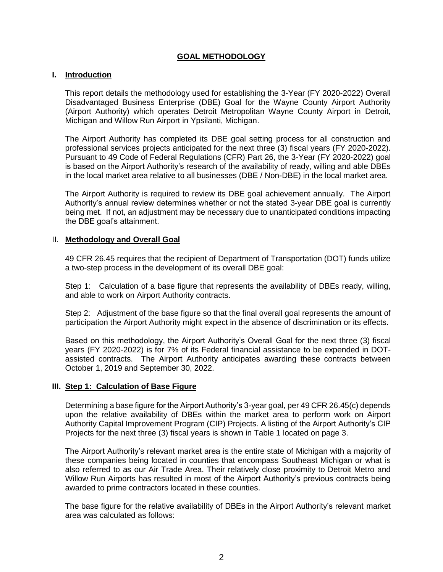## **GOAL METHODOLOGY**

#### **I. Introduction**

This report details the methodology used for establishing the 3-Year (FY 2020-2022) Overall Disadvantaged Business Enterprise (DBE) Goal for the Wayne County Airport Authority (Airport Authority) which operates Detroit Metropolitan Wayne County Airport in Detroit, Michigan and Willow Run Airport in Ypsilanti, Michigan.

The Airport Authority has completed its DBE goal setting process for all construction and professional services projects anticipated for the next three (3) fiscal years (FY 2020-2022). Pursuant to 49 Code of Federal Regulations (CFR) Part 26, the 3-Year (FY 2020-2022) goal is based on the Airport Authority's research of the availability of ready, willing and able DBEs in the local market area relative to all businesses (DBE / Non-DBE) in the local market area.

The Airport Authority is required to review its DBE goal achievement annually. The Airport Authority's annual review determines whether or not the stated 3-year DBE goal is currently being met. If not, an adjustment may be necessary due to unanticipated conditions impacting the DBE goal's attainment.

#### II. **Methodology and Overall Goal**

49 CFR 26.45 requires that the recipient of Department of Transportation (DOT) funds utilize a two-step process in the development of its overall DBE goal:

Step 1: Calculation of a base figure that represents the availability of DBEs ready, willing, and able to work on Airport Authority contracts.

Step 2: Adjustment of the base figure so that the final overall goal represents the amount of participation the Airport Authority might expect in the absence of discrimination or its effects.

Based on this methodology, the Airport Authority's Overall Goal for the next three (3) fiscal years (FY 2020-2022) is for 7% of its Federal financial assistance to be expended in DOTassisted contracts. The Airport Authority anticipates awarding these contracts between October 1, 2019 and September 30, 2022.

#### **III. Step 1: Calculation of Base Figure**

Determining a base figure for the Airport Authority's 3-year goal, per 49 CFR 26.45(c) depends upon the relative availability of DBEs within the market area to perform work on Airport Authority Capital Improvement Program (CIP) Projects. A listing of the Airport Authority's CIP Projects for the next three (3) fiscal years is shown in Table 1 located on page 3.

The Airport Authority's relevant market area is the entire state of Michigan with a majority of these companies being located in counties that encompass Southeast Michigan or what is also referred to as our Air Trade Area. Their relatively close proximity to Detroit Metro and Willow Run Airports has resulted in most of the Airport Authority's previous contracts being awarded to prime contractors located in these counties.

The base figure for the relative availability of DBEs in the Airport Authority's relevant market area was calculated as follows: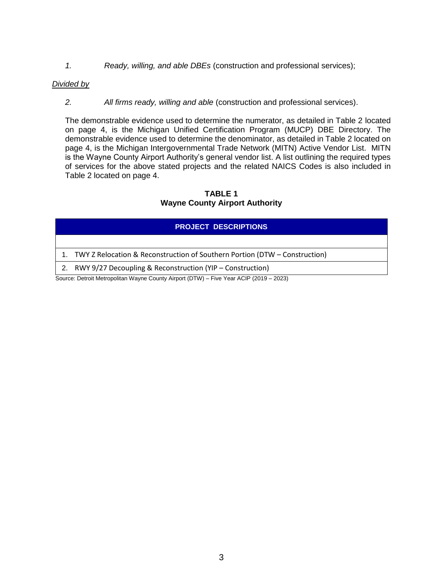*1. Ready, willing, and able DBEs* (construction and professional services);

#### *Divided by*

*2. All firms ready, willing and able* (construction and professional services).

The demonstrable evidence used to determine the numerator, as detailed in Table 2 located on page 4, is the Michigan Unified Certification Program (MUCP) DBE Directory. The demonstrable evidence used to determine the denominator, as detailed in Table 2 located on page 4, is the Michigan Intergovernmental Trade Network (MITN) Active Vendor List. MITN is the Wayne County Airport Authority's general vendor list. A list outlining the required types of services for the above stated projects and the related NAICS Codes is also included in Table 2 located on page 4.

**TABLE 1 Wayne County Airport Authority**

## **PROJECT DESCRIPTIONS**

1. TWY Z Relocation & Reconstruction of Southern Portion (DTW – Construction)

2. RWY 9/27 Decoupling & Reconstruction (YIP – Construction)

Source: Detroit Metropolitan Wayne County Airport (DTW) – Five Year ACIP (2019 – 2023)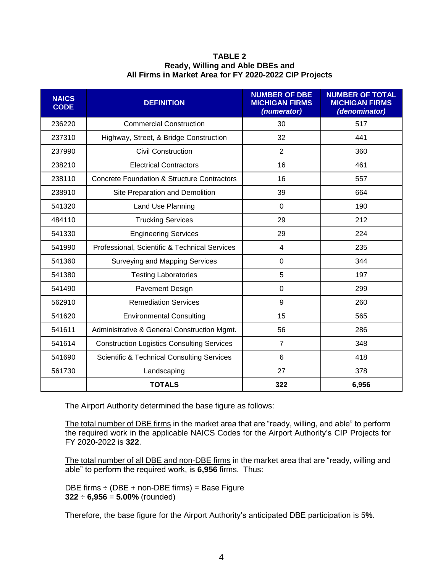| TABLE 2                                                |
|--------------------------------------------------------|
| Ready, Willing and Able DBEs and                       |
| All Firms in Market Area for FY 2020-2022 CIP Projects |

| <b>NAICS</b><br><b>CODE</b> | <b>DEFINITION</b>                                      | <b>NUMBER OF DBE</b><br><b>MICHIGAN FIRMS</b><br>(numerator) | <b>NUMBER OF TOTAL</b><br><b>MICHIGAN FIRMS</b><br>(denominator) |
|-----------------------------|--------------------------------------------------------|--------------------------------------------------------------|------------------------------------------------------------------|
| 236220                      | <b>Commercial Construction</b>                         | 30                                                           | 517                                                              |
| 237310                      | Highway, Street, & Bridge Construction                 | 32                                                           | 441                                                              |
| 237990                      | <b>Civil Construction</b>                              | $\overline{2}$                                               | 360                                                              |
| 238210                      | <b>Electrical Contractors</b>                          | 16                                                           | 461                                                              |
| 238110                      | <b>Concrete Foundation &amp; Structure Contractors</b> | 16                                                           | 557                                                              |
| 238910                      | Site Preparation and Demolition                        | 39                                                           | 664                                                              |
| 541320                      | Land Use Planning                                      | $\Omega$                                                     | 190                                                              |
| 484110                      | <b>Trucking Services</b>                               | 29                                                           | 212                                                              |
| 541330                      | <b>Engineering Services</b>                            | 29                                                           | 224                                                              |
| 541990                      | Professional, Scientific & Technical Services          | $\overline{4}$                                               | 235                                                              |
| 541360                      | Surveying and Mapping Services                         | $\Omega$                                                     | 344                                                              |
| 541380                      | <b>Testing Laboratories</b>                            | 5                                                            | 197                                                              |
| 541490                      | Pavement Design                                        | 0                                                            | 299                                                              |
| 562910                      | <b>Remediation Services</b>                            | 9                                                            | 260                                                              |
| 541620                      | <b>Environmental Consulting</b>                        | 15                                                           | 565                                                              |
| 541611                      | Administrative & General Construction Mgmt.            | 56                                                           | 286                                                              |
| 541614                      | <b>Construction Logistics Consulting Services</b>      | $\overline{7}$                                               | 348                                                              |
| 541690                      | <b>Scientific &amp; Technical Consulting Services</b>  | 6                                                            | 418                                                              |
| 561730                      | Landscaping                                            | 27                                                           | 378                                                              |
|                             | <b>TOTALS</b>                                          | 322                                                          | 6,956                                                            |

The Airport Authority determined the base figure as follows:

The total number of DBE firms in the market area that are "ready, willing, and able" to perform the required work in the applicable NAICS Codes for the Airport Authority's CIP Projects for FY 2020-2022 is **322**.

The total number of all DBE and non-DBE firms in the market area that are "ready, willing and able" to perform the required work, is **6,956** firms. Thus:

DBE firms  $\div$  (DBE + non-DBE firms) = Base Figure **322** ÷ **6,956** = **5.00%** (rounded)

Therefore, the base figure for the Airport Authority's anticipated DBE participation is 5**%**.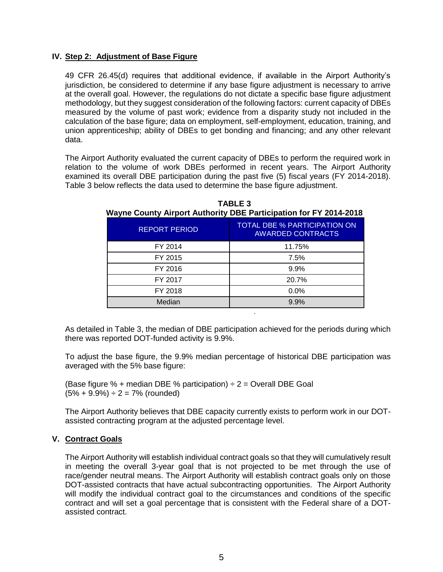#### **IV. Step 2: Adjustment of Base Figure**

49 CFR 26.45(d) requires that additional evidence, if available in the Airport Authority's jurisdiction, be considered to determine if any base figure adjustment is necessary to arrive at the overall goal. However, the regulations do not dictate a specific base figure adjustment methodology, but they suggest consideration of the following factors: current capacity of DBEs measured by the volume of past work; evidence from a disparity study not included in the calculation of the base figure; data on employment, self-employment, education, training, and union apprenticeship; ability of DBEs to get bonding and financing; and any other relevant data.

The Airport Authority evaluated the current capacity of DBEs to perform the required work in relation to the volume of work DBEs performed in recent years. The Airport Authority examined its overall DBE participation during the past five (5) fiscal years (FY 2014-2018). Table 3 below reflects the data used to determine the base figure adjustment.

| <b>REPORT PERIOD</b> | <b>TOTAL DBE % PARTICIPATION ON</b><br><b>AWARDED CONTRACTS</b> |
|----------------------|-----------------------------------------------------------------|
| FY 2014              | 11.75%                                                          |
| FY 2015              | 7.5%                                                            |
| FY 2016              | 9.9%                                                            |
| FY 2017              | 20.7%                                                           |
| FY 2018              | 0.0%                                                            |
| Median               | 9.9%                                                            |
|                      | ٠                                                               |

**TABLE 3 Wayne County Airport Authority DBE Participation for FY 2014-2018**

As detailed in Table 3, the median of DBE participation achieved for the periods during which there was reported DOT-funded activity is 9.9%.

To adjust the base figure, the 9.9% median percentage of historical DBE participation was averaged with the 5% base figure:

(Base figure % + median DBE % participation)  $\div$  2 = Overall DBE Goal  $(5\% + 9.9\%) \div 2 = 7\%$  (rounded)

The Airport Authority believes that DBE capacity currently exists to perform work in our DOTassisted contracting program at the adjusted percentage level.

## **V. Contract Goals**

The Airport Authority will establish individual contract goals so that they will cumulatively result in meeting the overall 3-year goal that is not projected to be met through the use of race/gender neutral means. The Airport Authority will establish contract goals only on those DOT-assisted contracts that have actual subcontracting opportunities. The Airport Authority will modify the individual contract goal to the circumstances and conditions of the specific contract and will set a goal percentage that is consistent with the Federal share of a DOTassisted contract.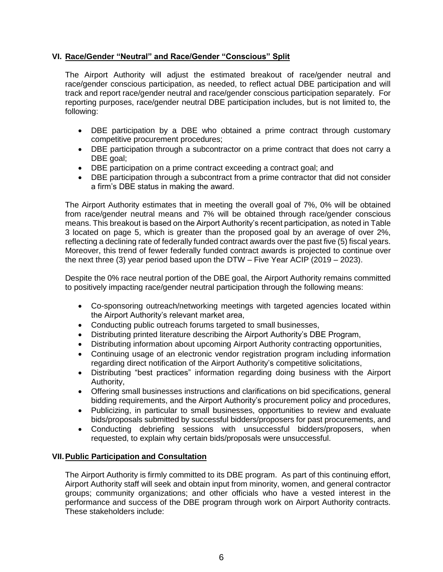## **VI. Race/Gender "Neutral" and Race/Gender "Conscious" Split**

The Airport Authority will adjust the estimated breakout of race/gender neutral and race/gender conscious participation, as needed, to reflect actual DBE participation and will track and report race/gender neutral and race/gender conscious participation separately. For reporting purposes, race/gender neutral DBE participation includes, but is not limited to, the following:

- DBE participation by a DBE who obtained a prime contract through customary competitive procurement procedures;
- DBE participation through a subcontractor on a prime contract that does not carry a DBE goal;
- DBE participation on a prime contract exceeding a contract goal; and
- DBE participation through a subcontract from a prime contractor that did not consider a firm's DBE status in making the award.

The Airport Authority estimates that in meeting the overall goal of 7%, 0% will be obtained from race/gender neutral means and 7% will be obtained through race/gender conscious means. This breakout is based on the Airport Authority's recent participation, as noted in Table 3 located on page 5, which is greater than the proposed goal by an average of over 2%, reflecting a declining rate of federally funded contract awards over the past five (5) fiscal years. Moreover, this trend of fewer federally funded contract awards is projected to continue over the next three (3) year period based upon the DTW – Five Year ACIP (2019 – 2023).

Despite the 0% race neutral portion of the DBE goal, the Airport Authority remains committed to positively impacting race/gender neutral participation through the following means:

- Co-sponsoring outreach/networking meetings with targeted agencies located within the Airport Authority's relevant market area,
- Conducting public outreach forums targeted to small businesses,
- Distributing printed literature describing the Airport Authority's DBE Program,
- Distributing information about upcoming Airport Authority contracting opportunities,
- Continuing usage of an electronic vendor registration program including information regarding direct notification of the Airport Authority's competitive solicitations,
- Distributing "best practices" information regarding doing business with the Airport Authority,
- Offering small businesses instructions and clarifications on bid specifications, general bidding requirements, and the Airport Authority's procurement policy and procedures,
- Publicizing, in particular to small businesses, opportunities to review and evaluate bids/proposals submitted by successful bidders/proposers for past procurements, and
- Conducting debriefing sessions with unsuccessful bidders/proposers, when requested, to explain why certain bids/proposals were unsuccessful.

## **VII.Public Participation and Consultation**

The Airport Authority is firmly committed to its DBE program. As part of this continuing effort, Airport Authority staff will seek and obtain input from minority, women, and general contractor groups; community organizations; and other officials who have a vested interest in the performance and success of the DBE program through work on Airport Authority contracts. These stakeholders include: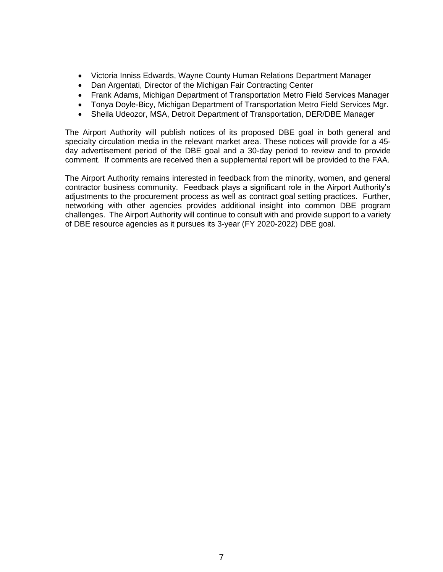- Victoria Inniss Edwards, Wayne County Human Relations Department Manager
- Dan Argentati, Director of the Michigan Fair Contracting Center
- Frank Adams, Michigan Department of Transportation Metro Field Services Manager
- Tonya Doyle-Bicy, Michigan Department of Transportation Metro Field Services Mgr.
- Sheila Udeozor, MSA, Detroit Department of Transportation, DER/DBE Manager

The Airport Authority will publish notices of its proposed DBE goal in both general and specialty circulation media in the relevant market area. These notices will provide for a 45 day advertisement period of the DBE goal and a 30-day period to review and to provide comment. If comments are received then a supplemental report will be provided to the FAA.

The Airport Authority remains interested in feedback from the minority, women, and general contractor business community. Feedback plays a significant role in the Airport Authority's adjustments to the procurement process as well as contract goal setting practices. Further, networking with other agencies provides additional insight into common DBE program challenges. The Airport Authority will continue to consult with and provide support to a variety of DBE resource agencies as it pursues its 3-year (FY 2020-2022) DBE goal.